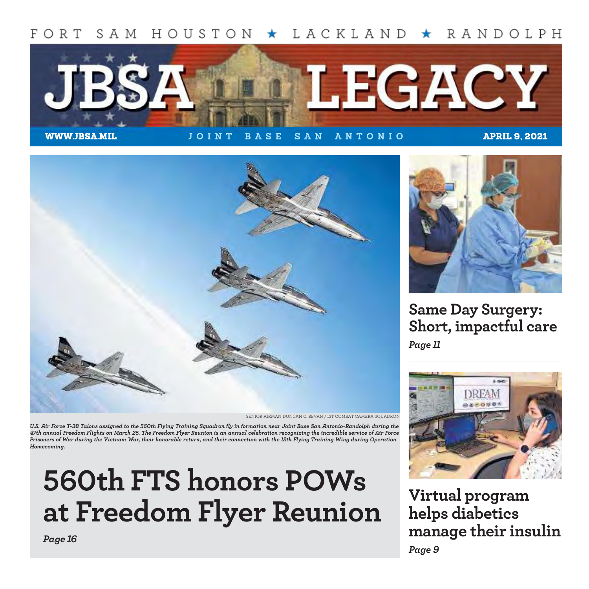#### FORT SAM HOUSTON  $\star$  LACKLAND  $\star$  RANDOLPH



WWW.JBSA.MIL **J OINT BASE SAN ANTONIO** APRIL 9, 2021



SENIOR AIRMAN DUNCAN C. BEVAN / 1ST COMBAT CAMERA SQUADRON

*U.S. Air Force T-38 Talons assigned to the 560th Flying Training Squadron fly in formation near Joint Base San Antonio-Randolph during the 47th annual Freedom Flights on March 25. The Freedom Flyer Reunion is an annual celebration recognizing the incredible service of Air Force Prisoners of War during the Vietnam War, their honorable return, and their connection with the 12th Flying Training Wing during Operation Homecoming.*

# **560th FTS honors POWs at Freedom Flyer Reunion**



**Same Day Surgery: Short, impactful care** *Page 11*



**Virtual program helps diabetics manage their insulin** *Page 9*

*Page 16*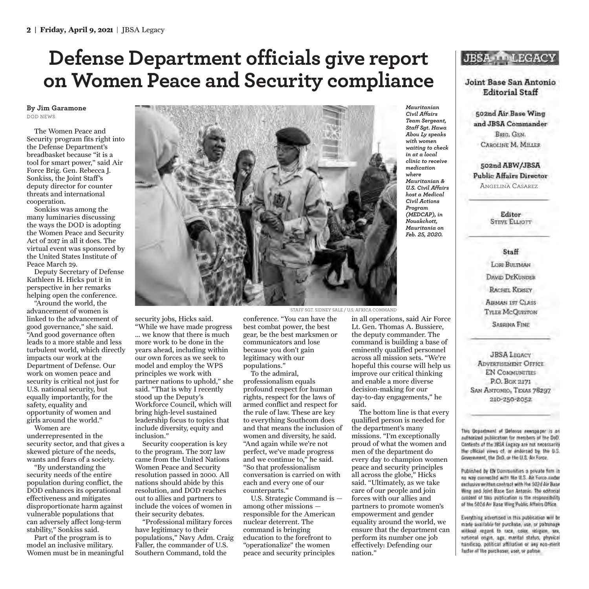### **Defense Department officials give report on Women Peace and Security compliance**

**By Jim Garamone** DOD NEWS

The Women Peace and Security program fits right into the Defense Department's breadbasket because "it is a tool for smart power," said Air Force Brig. Gen. Rebecca J. Sonkiss, the Joint Staff's deputy director for counter threats and international cooperation.

Sonkiss was among the many luminaries discussing the ways the DOD is adopting the Women Peace and Security Act of 2017 in all it does. The virtual event was sponsored by the United States Institute of Peace March 29.

Deputy Secretary of Defense Kathleen H. Hicks put it in perspective in her remarks helping open the conference.

"Around the world, the advancement of women is linked to the advancement of good governance," she said. "And good governance often leads to a more stable and less turbulent world, which directly impacts our work at the Department of Defense. Our work on women peace and security is critical not just for U.S. national security, but equally importantly, for the safety, equality and opportunity of women and girls around the world."

Women are underrepresented in the security sector, and that gives a skewed picture of the needs, wants and fears of a society.

"By understanding the security needs of the entire population during conflict, the DOD enhances its operational effectiveness and mitigates disproportionate harm against vulnerable populations that can adversely affect long-term stability," Sonkiss said.

Part of the program is to model an inclusive military. Women must be in meaningful



security jobs, Hicks said.

"While we have made progress … we know that there is much more work to be done in the years ahead, including within our own forces as we seek to model and employ the WPS principles we work with partner nations to uphold," she said. "That is why I recently stood up the Deputy's Workforce Council, which will bring high-level sustained leadership focus to topics that include diversity, equity and inclusion."

Security cooperation is key to the program. The 2017 law came from the United Nations Women Peace and Security resolution passed in 2000. All nations should abide by this resolution, and DOD reaches out to allies and partners to include the voices of women in their security debates.

"Professional military forces have legitimacy to their populations," Navy Adm. Craig Faller, the commander of U.S. Southern Command, told the

conference. "You can have the best combat power, the best gear, be the best marksmen or communicators and lose because you don't gain legitimacy with our populations."

To the admiral, professionalism equals profound respect for human rights, respect for the laws of armed conflict and respect for the rule of law. These are key to everything Southcom does and that means the inclusion of women and diversity, he said. "And again while we're not perfect, we've made progress and we continue to," he said. "So that professionalism conversation is carried on with each and every one of our counterparts."

U.S. Strategic Command is among other missions responsible for the American nuclear deterrent. The command is bringing education to the forefront to "operationalize" the women peace and security principles

*Mauritanian Civil Affairs Team Sergeant, Staff Sgt. Hawa Abou Ly speaks with women waiting to check in at a local clinic to receive medication where Mauritanian & U.S. Civil Affairs host a Medical Civil Actions Program (MEDCAP), in Nouakchott, Mauritania on Feb. 25, 2020.*

#### **JBSA LEGACY**

Joint Base San Antonio **Editorial Staff** 

502nd Air Base Wing and JBSA Commander BRIG. GEN. CAROLINE M. MILLER

502nd ABW/JBSA **Public Affairs Director** ANGELINA CASAREZ

> Editor **STEVE ELLIOTT**

Staff LORI BULTMAN **DAVID DEKUNDER RACHEL KERSEY** AIRMAN 1ST CLASS **TYLER McQUISTON SABRINA FINE** 

**JBSA LEGACY ADVERTISEMENT OFFICE EN COMMUNITIES** P.O. Box 2171 SAN ANTONIO, TEXAS 78297 210-250-2052

This Department of Defense newspaper is an authorized publication for members of the DoD. Contents of the JBSA Legacy are not necessarily the official vews of, or indorsed by, the U.S. Government, the DoD, or the U.S. Air Force.

Published by EN Communities a private firm in no way connected with the U.S. Air Force under exclusive written contract with The 502d Air Base Wing and Joint Base San Antonio. The editorial cratent of this publication is the responsibility of the 502d Air Base Wing Public Affairs Office

Everything advertised in this publication will be made available for purchase, use, or patronage without regard to race, color, religion, sex, national origin, ago, marital status, physical handleap, political affiliation of any non-merit factor of the purchaser, user, or patron-

#### STAFF SGT. SIDNEY SALE / U.S. AFRICA COMMAND

in all operations, said Air Force Lt. Gen. Thomas A. Bussiere, the deputy commander. The command is building a base of eminently qualified personnel across all mission sets. "We're hopeful this course will help us improve our critical thinking

and enable a more diverse decision-making for our day-to-day engagements," he said.

The bottom line is that every qualified person is needed for the department's many missions. "I'm exceptionally proud of what the women and men of the department do every day to champion women peace and security principles all across the globe," Hicks said. "Ultimately, as we take care of our people and join forces with our allies and partners to promote women's empowerment and gender equality around the world, we ensure that the department can perform its number one job effectively: Defending our nation."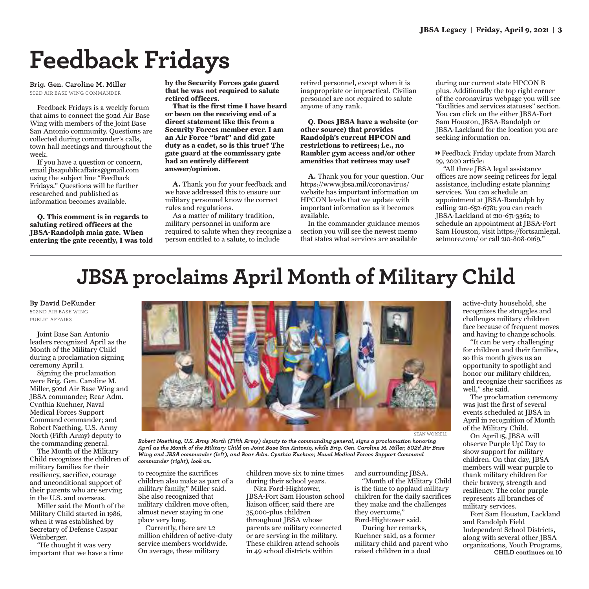## **Feedback Fridays**

**Brig. Gen. Caroline M. Miller** 502D AIR BASE WING COMMANDER

Feedback Fridays is a weekly forum that aims to connect the 502d Air Base Wing with members of the Joint Base San Antonio community. Questions are collected during commander's calls, town hall meetings and throughout the week.

If you have a question or concern, email jbsapublicaffairs@gmail.com using the subject line "Feedback Fridays." Questions will be further researched and published as information becomes available.

**Q. This comment is in regards to saluting retired officers at the JBSA-Randolph main gate. When entering the gate recently, I was told** **by the Security Forces gate guard that he was not required to salute retired officers.**

**That is the first time I have heard or been on the receiving end of a direct statement like this from a Security Forces member ever. I am an Air Force "brat" and did gate duty as a cadet, so is this true? The gate guard at the commissary gate had an entirely different answer/opinion.**

**A.** Thank you for your feedback and we have addressed this to ensure our military personnel know the correct rules and regulations.

As a matter of military tradition, military personnel in uniform are required to salute when they recognize a person entitled to a salute, to include

retired personnel, except when it is inappropriate or impractical. Civilian personnel are not required to salute anyone of any rank.

**Q. Does JBSA have a website (or other source) that provides Randolph's current HPCON and restrictions to retirees; i.e., no Rambler gym access and/or other amenities that retirees may use?**

**A.** Thank you for your question. Our https://www.jbsa.mil/coronavirus/ website has important information on HPCON levels that we update with important information as it becomes available.

In the commander guidance memos section you will see the newest memo that states what services are available

during our current state HPCON B plus. Additionally the top right corner of the coronavirus webpage you will see "facilities and services statuses" section. You can click on the either JBSA-Fort Sam Houston, JBSA-Randolph or JBSA-Lackland for the location you are seeking information on.

1 Feedback Friday update from March 29, 2020 article:

"All three JBSA legal assistance offices are now seeing retirees for legal assistance, including estate planning services. You can schedule an appointment at JBSA-Randolph by calling 210-652-6781; you can reach JBSA-Lackland at 210-671-3362; to schedule an appointment at JBSA-Fort Sam Houston, visit https://fortsamlegal. setmore.com/ or call 210-808-0169."

## **JBSA proclaims April Month of Military Child**

**By David DeKunder** 

502ND AIR BASE WING PUBLIC AFFAIRS

Joint Base San Antonio leaders recognized April as the Month of the Military Child during a proclamation signing ceremony April 1.

Signing the proclamation were Brig. Gen. Caroline M. Miller, 502d Air Base Wing and JBSA commander; Rear Adm. Cynthia Kuehner, Naval Medical Forces Support Command commander; and Robert Naething, U.S. Army North (Fifth Army) deputy to the commanding general.

The Month of the Military Child recognizes the children of military families for their resiliency, sacrifice, courage and unconditional support of their parents who are serving in the U.S. and overseas.

Miller said the Month of the Military Child started in 1986, when it was established by Secretary of Defense Caspar Weinberger.

"He thought it was very important that we have a time



*Robert Naething, U.S. Army North (Fifth Army) deputy to the commanding general, signs a proclamation honoring April as the Month of the Military Child on Joint Base San Antonio, while Brig. Gen. Caroline M. Miller, 502d Air Base Wing and JBSA commander (left), and Rear Adm. Cynthia Kuehner, Naval Medical Forces Support Command commander (right), look on.*

to recognize the sacrifices children also make as part of a military family," Miller said. She also recognized that military children move often, almost never staying in one place very long.

Currently, there are 1.2 million children of active-duty service members worldwide. On average, these military

children move six to nine times during their school years.

Nita Ford-Hightower, JBSA-Fort Sam Houston school liaison officer, said there are 35,000-plus children throughout JBSA whose parents are military connected or are serving in the military. These children attend schools in 49 school districts within

and surrounding JBSA.

"Month of the Military Child is the time to applaud military children for the daily sacrifices they make and the challenges they overcome,"

Ford-Hightower said. During her remarks,

Kuehner said, as a former military child and parent who raised children in a dual

active-duty household, she recognizes the struggles and challenges military children face because of frequent moves and having to change schools.

"It can be very challenging for children and their families, so this month gives us an opportunity to spotlight and honor our military children, and recognize their sacrifices as well," she said.

The proclamation ceremony was just the first of several events scheduled at JBSA in April in recognition of Month of the Military Child.

On April 15, JBSA will observe Purple Up! Day to show support for military children. On that day, JBSA members will wear purple to thank military children for their bravery, strength and resiliency. The color purple represents all branches of military services.

Fort Sam Houston, Lackland and Randolph Field Independent School Districts, along with several other JBSA organizations, Youth Programs, **CHILD continues on 10**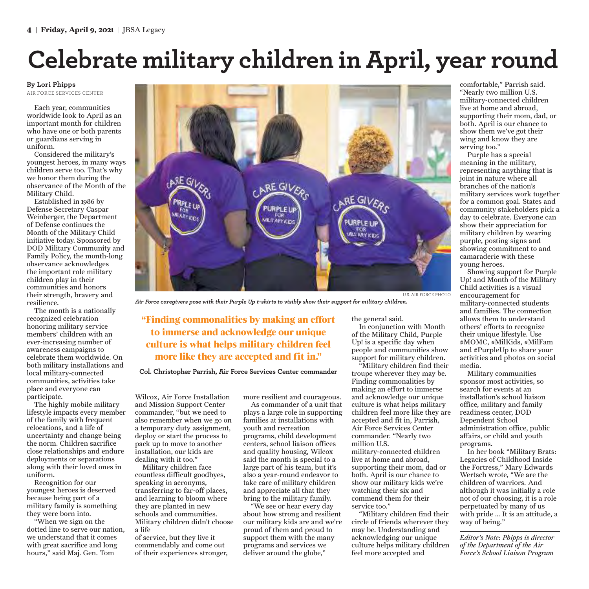## **Celebrate military children in April, year round**

#### **By Lori Phipps**

AIR FORCE SERVICES CENTER

Each year, communities worldwide look to April as an important month for children who have one or both parents or guardians serving in uniform.

Considered the military's youngest heroes, in many ways children serve too. That's why we honor them during the observance of the Month of the Military Child.

Established in 1986 by Defense Secretary Caspar Weinberger, the Department of Defense continues the Month of the Military Child initiative today. Sponsored by DOD Military Community and Family Policy, the month-long observance acknowledges the important role military children play in their communities and honors their strength, bravery and resilience.

The month is a nationally recognized celebration honoring military service members' children with an ever-increasing number of awareness campaigns to celebrate them worldwide. On both military installations and local military-connected communities, activities take place and everyone can participate.

The highly mobile military lifestyle impacts every member of the family with frequent relocations, and a life of uncertainty and change being the norm. Children sacrifice close relationships and endure deployments or separations along with their loved ones in uniform.

Recognition for our youngest heroes is deserved because being part of a military family is something they were born into.

"When we sign on the dotted line to serve our nation, we understand that it comes with great sacrifice and long hours," said Maj. Gen. Tom



*Air Force caregivers pose with their Purple Up t-shirts to visibly show their support for military children.*

**"Finding commonalities by making an effort to immerse and acknowledge our unique culture is what helps military children feel more like they are accepted and fit in."** 

**Col. Christopher Parrish, Air Force Services Center commander**

Wilcox, Air Force Installation and Mission Support Center commander, "but we need to also remember when we go on a temporary duty assignment, deploy or start the process to pack up to move to another installation, our kids are dealing with it too."

Military children face countless difficult goodbyes, speaking in acronyms, transferring to far-off places, and learning to bloom where they are planted in new schools and communities. Military children didn't choose a life

of service, but they live it commendably and come out of their experiences stronger, more resilient and courageous.

As commander of a unit that plays a large role in supporting families at installations with youth and recreation programs, child development centers, school liaison offices and quality housing, Wilcox said the month is special to a large part of his team, but it's also a year-round endeavor to take care of military children and appreciate all that they bring to the military family.

"We see or hear every day about how strong and resilient our military kids are and we're proud of them and proud to support them with the many programs and services we deliver around the globe,"

the general said.

In conjunction with Month of the Military Child, Purple Up! is a specific day when people and communities show support for military children.

"Military children find their troupe wherever they may be. Finding commonalities by making an effort to immerse and acknowledge our unique culture is what helps military children feel more like they are accepted and fit in, Parrish, Air Force Services Center commander. "Nearly two million U.S. military-connected children live at home and abroad, supporting their mom, dad or both. April is our chance to show our military kids we're watching their six and commend them for their service too."

"Military children find their circle of friends wherever they may be. Understanding and acknowledging our unique culture helps military children feel more accepted and

comfortable," Parrish said. "Nearly two million U.S. military-connected children live at home and abroad, supporting their mom, dad, or both. April is our chance to show them we've got their wing and know they are serving too."

Purple has a special meaning in the military, representing anything that is joint in nature where all branches of the nation's military services work together for a common goal. States and community stakeholders pick a day to celebrate. Everyone can show their appreciation for military children by wearing purple, posting signs and showing commitment to and camaraderie with these young heroes.

Showing support for Purple Up! and Month of the Military Child activities is a visual encouragement for military-connected students and families. The connection allows them to understand others' efforts to recognize their unique lifestyle. Use #MOMC, #MilKids, #MilFam and #PurpleUp to share your activities and photos on social media.

Military communities sponsor most activities, so search for events at an installation's school liaison office, military and family readiness center, DOD Dependent School administration office, public affairs, or child and youth programs.

In her book "Military Brats: Legacies of Childhood Inside the Fortress," Mary Edwards Wertsch wrote, "We are the children of warriors. And although it was initially a role not of our choosing, it is a role perpetuated by many of us with pride … It is an attitude, a way of being."

*Editor's Note: Phipps is director of the Department of the Air Force's School Liaison Program*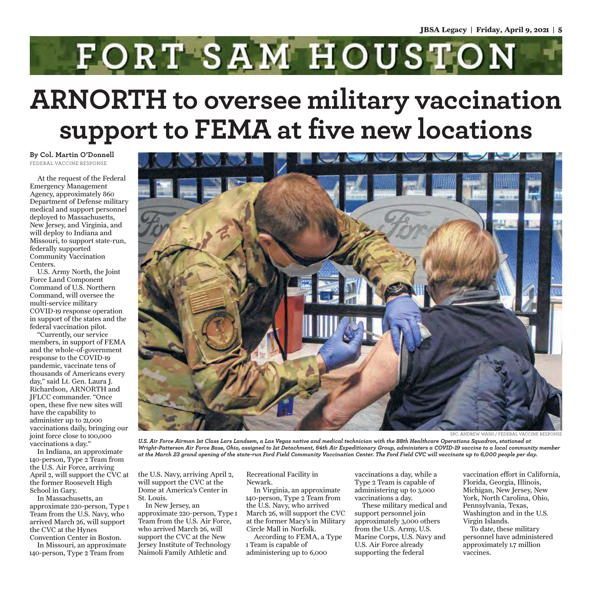FORT SAM HOUSTON

## **ARNORTH to oversee military vaccination support to FEMA at five new locations**

**By Col. Martin O'Donnell** FEDERAL VACCINE RESPONSE

At the request of the Federal Emergency Management Agency, approximately 860 Department of Defense military medical and support personnel deployed to Massachusetts, New Jersey, and Virginia, and will deploy to Indiana and Missouri, to support state-run, federally supported Community Vaccination Centers.

U.S. Army North, the Joint Force Land Component Command of U.S. Northern Command, will oversee the multi-service military COVID-19 response operation in support of the states and the federal vaccination pilot.

"Currently, our service members, in support of FEMA and the whole-of-government response to the COVID-19 pandemic, vaccinate tens of thousands of Americans every day," said Lt. Gen. Laura J. Richardson, ARNORTH and JFLCC commander. "Once open, these five new sites will have the capability to administer up to 21,000 vaccinations daily, bringing our joint force close to 100,000 vaccinations a day."

In Indiana, an approximate 140-person, Type 2 Team from the U.S. Air Force, arriving April 2, will support the CVC at the former Roosevelt High School in Gary.

In Massachusetts, an approximate 220-person, Type 1 Team from the U.S. Navy, who arrived March 26, will support the CVC at the Hynes Convention Center in Boston.

In Missouri, an approximate 140-person, Type 2 Team from



SPC. ANDREW WASH / FEDERAL VACCINE RESPONSE

*U.S. Air Force Airman 1st Class Lars Landsem, a Las Vegas native and medical technician with the 88th Healthcare Operations Squadron, stationed at Wright-Patterson Air Force Base, Ohio, assigned to 1st Detachment, 64th Air Expeditionary Group, administers a COVID-19 vaccine to a local community member at the March 23 grand opening of the state-run Ford Field Community Vaccination Center. The Ford Field CVC will vaccinate up to 6,000 people per day.*

the U.S. Navy, arriving April 2, will support the CVC at the Dome at America's Center in St. Louis.

In New Jersey, an approximate 220-person, Type 1 Team from the U.S. Air Force, who arrived March 26, will support the CVC at the New Jersey Institute of Technology Naimoli Family Athletic and

Recreational Facility in Newark.

In Virginia, an approximate 140-person, Type 2 Team from the U.S. Navy, who arrived March 26, will support the CVC at the former Macy's in Military Circle Mall in Norfolk. According to FEMA, a Type

1 Team is capable of administering up to 6,000

vaccinations a day, while a Type 2 Team is capable of administering up to 3,000 vaccinations a day.

These military medical and support personnel join approximately 3,000 others from the U.S. Army, U.S. Marine Corps, U.S. Navy and U.S. Air Force already supporting the federal

vaccination effort in California, Florida, Georgia, Illinois, Michigan, New Jersey, New York, North Carolina, Ohio, Pennsylvania, Texas, Washington and in the U.S. Virgin Islands.

To date, these military personnel have administered approximately 1.7 million vaccines.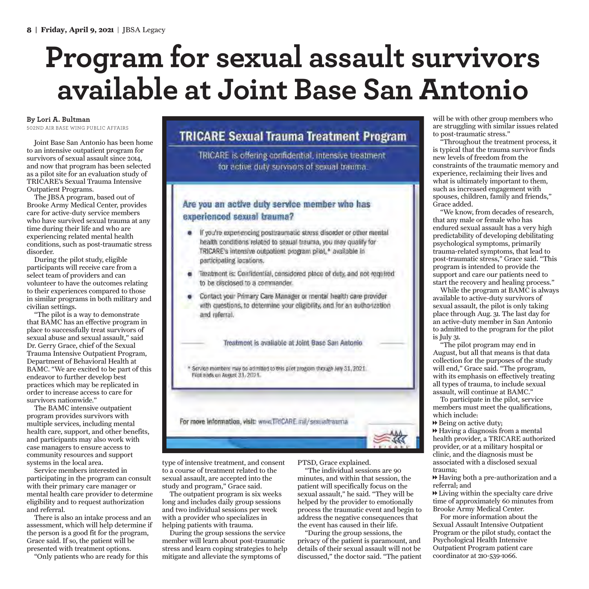# **Program for sexual assault survivors available at Joint Base San Antonio**

#### **By Lori A. Bultman**

502ND AIR BASE WING PUBLIC AFFAIRS

Joint Base San Antonio has been home to an intensive outpatient program for survivors of sexual assault since 2014, and now that program has been selected as a pilot site for an evaluation study of TRICARE's Sexual Trauma Intensive Outpatient Programs.

The JBSA program, based out of Brooke Army Medical Center, provides care for active-duty service members who have survived sexual trauma at any time during their life and who are experiencing related mental health conditions, such as post-traumatic stress disorder.

During the pilot study, eligible participants will receive care from a select team of providers and can volunteer to have the outcomes relating to their experiences compared to those in similar programs in both military and civilian settings.

"The pilot is a way to demonstrate that BAMC has an effective program in place to successfully treat survivors of sexual abuse and sexual assault," said Dr. Gerry Grace, chief of the Sexual Trauma Intensive Outpatient Program, Department of Behavioral Health at BAMC. "We are excited to be part of this endeavor to further develop best practices which may be replicated in order to increase access to care for survivors nationwide."

The BAMC intensive outpatient program provides survivors with multiple services, including mental health care, support, and other benefits, and participants may also work with case managers to ensure access to community resources and support systems in the local area.

Service members interested in participating in the program can consult with their primary care manager or mental health care provider to determine eligibility and to request authorization and referral.

There is also an intake process and an assessment, which will help determine if the person is a good fit for the program, Grace said. If so, the patient will be presented with treatment options.

"Only patients who are ready for this

#### **TRICARE Sexual Trauma Treatment Program**

TRICARE is offering confidential, intensive treatment for active duty survivors of sexual trauma.

#### Are you an active duty service member who has experienced sexual trauma?

- If you're experiencing posttraumatic stress disorder or other mental health conditions related to sexual trauma, you may qualify for TRICARE's intensive outpotient program pilot,\* available in participating locations.
- Treatment is: Confidential, considered place of duty, and not required to be disclosed to a commander.
- Contact your Primary Care Manager or mental health care provider with questions, to determine your eligibility, and for an authorization and referral.

Treatment is available at Joint Base San Antonio

\* Service members may be admitted to this plot program through July 31, 2021. First eads on August 31, 2021.

For more information, visit: www.TRICARE.mil/sexualtrauma

type of intensive treatment, and consent to a course of treatment related to the sexual assault, are accepted into the study and program," Grace said.

The outpatient program is six weeks long and includes daily group sessions and two individual sessions per week with a provider who specializes in helping patients with trauma.

During the group sessions the service member will learn about post-traumatic stress and learn coping strategies to help mitigate and alleviate the symptoms of

PTSD, Grace explained.

"The individual sessions are 90 minutes, and within that session, the patient will specifically focus on the sexual assault," he said. "They will be helped by the provider to emotionally process the traumatic event and begin to address the negative consequences that the event has caused in their life.

"During the group sessions, the privacy of the patient is paramount, and details of their sexual assault will not be discussed," the doctor said. "The patient

will be with other group members who are struggling with similar issues related to post-traumatic stress."

"Throughout the treatment process, it is typical that the trauma survivor finds new levels of freedom from the constraints of the traumatic memory and experience, reclaiming their lives and what is ultimately important to them, such as increased engagement with spouses, children, family and friends," Grace added.

"We know, from decades of research, that any male or female who has endured sexual assault has a very high predictability of developing debilitating psychological symptoms, primarily trauma-related symptoms, that lead to post-traumatic stress," Grace said. "This program is intended to provide the support and care our patients need to start the recovery and healing process."

While the program at BAMC is always available to active-duty survivors of sexual assault, the pilot is only taking place through Aug. 31. The last day for an active-duty member in San Antonio to admitted to the program for the pilot is July 31.

"The pilot program may end in August, but all that means is that data collection for the purposes of the study will end," Grace said. "The program, with its emphasis on effectively treating all types of trauma, to include sexual assault, will continue at BAMC."

To participate in the pilot, service members must meet the qualifications, which include:

 $\rightarrow$  Being on active duty;

 $\rightarrow$  Having a diagnosis from a mental health provider, a TRICARE authorized provider, or at a military hospital or clinic, and the diagnosis must be associated with a disclosed sexual trauma;

1 Having both a pre-authorization and a referral; and

 $\blacktriangleright$  Living within the specialty care drive time of approximately 60 minutes from Brooke Army Medical Center.

For more information about the Sexual Assault Intensive Outpatient Program or the pilot study, contact the Psychological Health Intensive Outpatient Program patient care coordinator at 210-539-1066.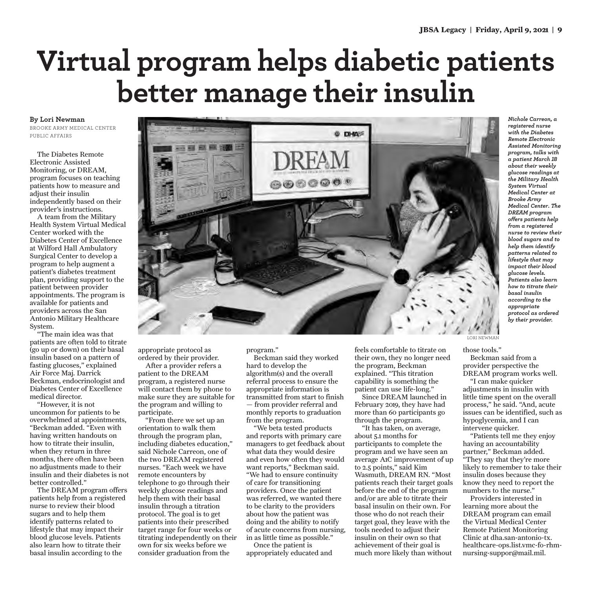# **Virtual program helps diabetic patients better manage their insulin**

**By Lori Newman**

BROOKE ARMY MEDICAL CENTER PUBLIC AFFAIRS

The Diabetes Remote Electronic Assisted Monitoring, or DREAM, program focuses on teaching patients how to measure and adjust their insulin independently based on their provider's instructions.

A team from the Military Health System Virtual Medical Center worked with the Diabetes Center of Excellence at Wilford Hall Ambulatory Surgical Center to develop a program to help augment a patient's diabetes treatment plan, providing support to the patient between provider appointments. The program is available for patients and providers across the San Antonio Military Healthcare System.

"The main idea was that patients are often told to titrate (go up or down) on their basal insulin based on a pattern of fasting glucoses," explained Air Force Maj. Darrick Beckman, endocrinologist and Diabetes Center of Excellence medical director.

"However, it is not uncommon for patients to be overwhelmed at appointments, "Beckman added. "Even with having written handouts on how to titrate their insulin, when they return in three months, there often have been no adjustments made to their insulin and their diabetes is not better controlled."

The DREAM program offers patients help from a registered nurse to review their blood sugars and to help them identify patterns related to lifestyle that may impact their blood glucose levels. Patients also learn how to titrate their basal insulin according to the



appropriate protocol as ordered by their provider.

After a provider refers a patient to the DREAM program, a registered nurse will contact them by phone to make sure they are suitable for the program and willing to participate.

"From there we set up an orientation to walk them through the program plan, including diabetes education," said Nichole Carreon, one of the two DREAM registered nurses. "Each week we have remote encounters by telephone to go through their weekly glucose readings and help them with their basal insulin through a titration protocol. The goal is to get patients into their prescribed target range for four weeks or titrating independently on their own for six weeks before we consider graduation from the

program."

Beckman said they worked hard to develop the algorithm(s) and the overall referral process to ensure the appropriate information is transmitted from start to finish — from provider referral and monthly reports to graduation from the program.

"We beta tested products and reports with primary care managers to get feedback about what data they would desire and even how often they would want reports," Beckman said. "We had to ensure continuity of care for transitioning providers. Once the patient was referred, we wanted there to be clarity to the providers about how the patient was doing and the ability to notify of acute concerns from nursing, in as little time as possible."

Once the patient is appropriately educated and feels comfortable to titrate on their own, they no longer need the program, Beckman explained. "This titration capability is something the patient can use life-long."

Since DREAM launched in February 2019, they have had more than 60 participants go through the program.

"It has taken, on average, about 5.1 months for participants to complete the program and we have seen an average A1C improvement of up to 2.5 points," said Kim Wasmuth, DREAM RN. "Most patients reach their target goals before the end of the program and/or are able to titrate their basal insulin on their own. For those who do not reach their target goal, they leave with the tools needed to adjust their insulin on their own so that achievement of their goal is much more likely than without

*Nichole Carreon, a registered nurse with the Diabetes Remote Electronic Assisted Monitoring program, talks with a patient March 18 about their weekly glucose readings at the Military Health System Virtual Medical Center at Brooke Army Medical Center. The DREAM program offers patients help from a registered nurse to review their blood sugars and to help them identify patterns related to lifestyle that may impact their blood glucose levels. Patients also learn how to titrate their basal insulin according to the appropriate protocol as ordered by their provider.*

those tools."

Beckman said from a provider perspective the DREAM program works well.

"I can make quicker adjustments in insulin with little time spent on the overall process," he said. "And, acute issues can be identified, such as hypoglycemia, and I can intervene quicker.

"Patients tell me they enjoy having an accountability partner," Beckman added. "They say that they're more likely to remember to take their insulin doses because they know they need to report the numbers to the nurse."

Providers interested in learning more about the DREAM program can email the Virtual Medical Center Remote Patient Monitoring Clinic at dha.san-antonio-tx. healthcare-ops.list.vmc-fo-rhmnursing-suppor@mail.mil.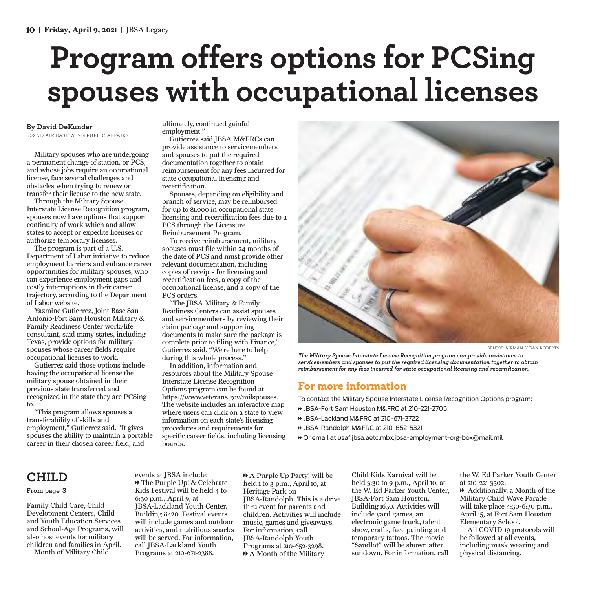# **Program offers options for PCSing spouses with occupational licenses**

#### **By David DeKunder**

502ND AIR BASE WING PUBLIC AFFAIRS

Military spouses who are undergoing a permanent change of station, or PCS, and whose jobs require an occupational license, face several challenges and obstacles when trying to renew or transfer their license to the new state.

Through the Military Spouse Interstate License Recognition program, spouses now have options that support continuity of work which and allow states to accept or expedite licenses or authorize temporary licenses.

The program is part of a U.S. Department of Labor initiative to reduce employment barriers and enhance career opportunities for military spouses, who can experience employment gaps and costly interruptions in their career trajectory, according to the Department of Labor website.

Yazmine Gutierrez, Joint Base San Antonio-Fort Sam Houston Military & Family Readiness Center work/life consultant, said many states, including Texas, provide options for military spouses whose career fields require occupational licenses to work.

Gutierrez said those options include having the occupational license the military spouse obtained in their previous state transferred and recognized in the state they are PCSing to.

"This program allows spouses a transferability of skills and employment," Gutierrez said. "It gives spouses the ability to maintain a portable career in their chosen career field, and

ultimately, continued gainful employment."

Gutierrez said JBSA M&FRCs can provide assistance to servicemembers and spouses to put the required documentation together to obtain reimbursement for any fees incurred for state occupational licensing and recertification.

Spouses, depending on eligibility and branch of service, may be reimbursed for up to \$1,000 in occupational state licensing and recertification fees due to a PCS through the Licensure Reimbursement Program.

To receive reimbursement, military spouses must file within 24 months of the date of PCS and must provide other relevant documentation, including copies of receipts for licensing and recertification fees, a copy of the occupational license, and a copy of the PCS orders.

"The JBSA Military & Family Readiness Centers can assist spouses and servicemembers by reviewing their claim package and supporting documents to make sure the package is complete prior to filing with Finance," Gutierrez said. "We're here to help during this whole process."

In addition, information and resources about the Military Spouse Interstate License Recognition Options program can be found at https://www.veterans.gov/milspouses. The website includes an interactive map where users can click on a state to view information on each state's licensing procedures and requirements for specific career fields, including licensing boards.



SENIOR AIRMAN SUSAN ROBERTS

*The Military Spouse Interstate License Recognition program can provide assistance to servicemembers and spouses to put the required licensing documentation together to obtain reimbursement for any fees incurred for state occupational licensing and recertification.*

#### **For more information**

To contact the Military Spouse Interstate License Recognition Options program:

- 1 JBSA-Fort Sam Houston M&FRC at 210-221-2705
- 1 JBSA-Lackland M&FRC at 210-671-3722
- 1 JBSA-Randolph M&FRC at 210-652-5321
- 1 Or email at usaf.jbsa.aetc.mbx.jbsa-employment-org-box@mail.mil

#### **CHILD**

#### **From page 3**

Family Child Care, Child Development Centers, Child and Youth Education Services and School-Age Programs, will also host events for military children and families in April. Month of Military Child

events at JBSA include: 1 The Purple Up! & Celebrate Kids Festival will be held 4 to 6:30 p.m., April 9, at JBSA-Lackland Youth Center, Building 8420. Festival events will include games and outdoor activities, and nutritious snacks will be served. For information, call JBSA-Lackland Youth Programs at 210-671-2388.

1 A Purple Up Party! will be held 1 to 3 p.m., April 10, at Heritage Park on JBSA-Randolph. This is a drive thru event for parents and children. Activities will include music, games and giveaways. For information, call JBSA-Randolph Youth Programs at 210-652-3298. 1 A Month of the Military

Child Kids Karnival will be held 3:30 to 9 p.m., April 10, at the W. Ed Parker Youth Center, JBSA-Fort Sam Houston, Building 1630. Activities will include yard games, an electronic game truck, talent show, crafts, face painting and temporary tattoos. The movie "Sandlot" will be shown after sundown. For information, call

the W. Ed Parker Youth Center at 210-221-3502.  $\rightarrow$  Additionally, a Month of the Military Child Wave Parade will take place 4:30-6:30 p.m., April 15, at Fort Sam Houston

Elementary School. All COVID-19 protocols will be followed at all events, including mask wearing and physical distancing.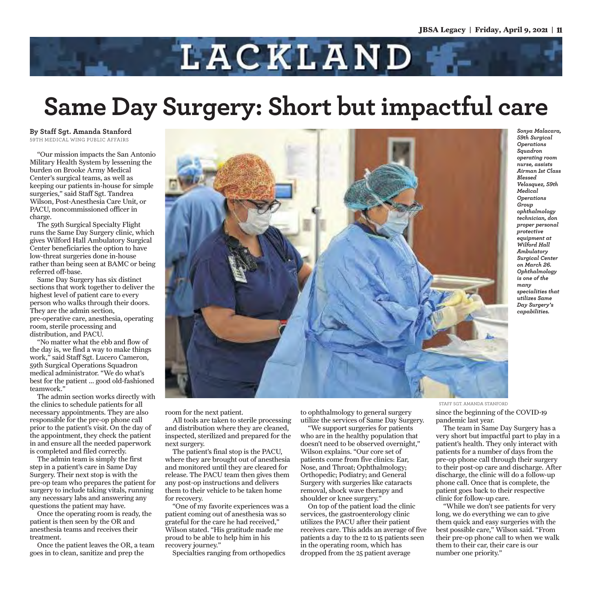

## **Same Day Surgery: Short but impactful care**

**By Staff Sgt. Amanda Stanford** 59TH MEDICAL WING PUBLIC AFFAIRS

"Our mission impacts the San Antonio Military Health System by lessening the burden on Brooke Army Medical Center's surgical teams, as well as keeping our patients in-house for simple surgeries," said Staff Sgt. Tandrea Wilson, Post-Anesthesia Care Unit, or PACU, noncommissioned officer in charge.

The 59th Surgical Specialty Flight runs the Same Day Surgery clinic, which gives Wilford Hall Ambulatory Surgical Center beneficiaries the option to have low-threat surgeries done in-house rather than being seen at BAMC or being referred off-base.

Same Day Surgery has six distinct sections that work together to deliver the highest level of patient care to every person who walks through their doors. They are the admin section, pre-operative care, anesthesia, operating room, sterile processing and distribution, and PACU.

"No matter what the ebb and flow of the day is, we find a way to make things work," said Staff Sgt. Lucero Cameron, 59th Surgical Operations Squadron medical administrator. "We do what's best for the patient ... good old-fashioned teamwork."

The admin section works directly with the clinics to schedule patients for all necessary appointments. They are also responsible for the pre-op phone call prior to the patient's visit. On the day of the appointment, they check the patient in and ensure all the needed paperwork is completed and filed correctly.

The admin team is simply the first step in a patient's care in Same Day Surgery. Their next stop is with the pre-op team who prepares the patient for surgery to include taking vitals, running any necessary labs and answering any questions the patient may have.

Once the operating room is ready, the patient is then seen by the OR and anesthesia teams and receives their treatment.

Once the patient leaves the OR, a team goes in to clean, sanitize and prep the



room for the next patient.

All tools are taken to sterile processing and distribution where they are cleaned, inspected, sterilized and prepared for the next surgery.

The patient's final stop is the PACU, where they are brought out of anesthesia and monitored until they are cleared for release. The PACU team then gives them any post-op instructions and delivers them to their vehicle to be taken home for recovery.

"One of my favorite experiences was a patient coming out of anesthesia was so grateful for the care he had received," Wilson stated. "His gratitude made me proud to be able to help him in his recovery journey."

Specialties ranging from orthopedics

to ophthalmology to general surgery utilize the services of Same Day Surgery.

"We support surgeries for patients who are in the healthy population that doesn't need to be observed overnight," Wilson explains. "Our core set of patients come from five clinics: Ear, Nose, and Throat; Ophthalmology; Orthopedic; Podiatry; and General Surgery with surgeries like cataracts removal, shock wave therapy and shoulder or knee surgery."

On top of the patient load the clinic services, the gastroenterology clinic utilizes the PACU after their patient receives care. This adds an average of five patients a day to the 12 to 15 patients seen in the operating room, which has dropped from the 25 patient average

*Sonya Malacara, 59th Surgical Operations Squadron operating room nurse, assists Airman 1st Class Blessed Velasquez, 59th Medical Operations Group ophthalmology technician, don proper personal protective equipment at Wilford Hall Ambulatory Surgical Center on March 26. Ophthalmology is one of the many specialities that utilizes Same Day Surgery's capabilities.*

STAFF SGT. AMANDA STANFORD

since the beginning of the COVID-19 pandemic last year.

The team in Same Day Surgery has a very short but impactful part to play in a patient's health. They only interact with patients for a number of days from the pre-op phone call through their surgery to their post-op care and discharge. After discharge, the clinic will do a follow-up phone call. Once that is complete, the patient goes back to their respective clinic for follow-up care.

"While we don't see patients for very long, we do everything we can to give them quick and easy surgeries with the best possible care," Wilson said. "From their pre-op phone call to when we walk them to their car, their care is our number one priority."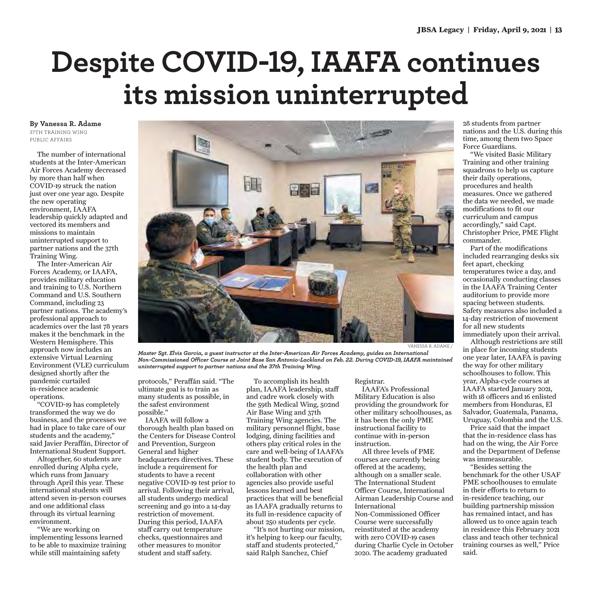# **Despite COVID-19, IAAFA continues its mission uninterrupted**

**By Vanessa R. Adame**  37TH TRAINING WING PUBLIC AFFAIRS

The number of international students at the Inter-American Air Forces Academy decreased by more than half when COVID-19 struck the nation just over one year ago. Despite the new operating environment, IAAFA leadership quickly adapted and vectored its members and missions to maintain uninterrupted support to partner nations and the 37th Training Wing.

The Inter-American Air Forces Academy, or IAAFA, provides military education and training to U.S. Northern Command and U.S. Southern Command, including 23 partner nations. The academy's professional approach to academics over the last 78 years makes it the benchmark in the Western Hemisphere. This approach now includes an extensive Virtual Learning Environment (VLE) curriculum designed shortly after the pandemic curtailed in-residence academic operations.

"COVID-19 has completely transformed the way we do business, and the processes we had in place to take care of our students and the academy," said Javier Peraffán, Director of International Student Support.

Altogether, 60 students are enrolled during Alpha cycle, which runs from January through April this year. These international students will attend seven in-person courses and one additional class through its virtual learning environment.

"We are working on implementing lessons learned to be able to maximize training while still maintaining safety



nations and the U.S. during this time, among them two Space Force Guardians. "We visited Basic Military

28 students from partner

Training and other training squadrons to help us capture their daily operations, procedures and health measures. Once we gathered the data we needed, we made modifications to fit our curriculum and campus accordingly," said Capt. Christopher Price, PME Flight commander.

Part of the modifications included rearranging desks six feet apart, checking temperatures twice a day, and occasionally conducting classes in the IAAFA Training Center auditorium to provide more spacing between students. Safety measures also included a 14-day restriction of movement for all new students

immediately upon their arrival. Although restrictions are still

in place for incoming students one year later, IAAFA is paving the way for other military schoolhouses to follow. This year, Alpha-cycle courses at IAAFA started January 2021, with 18 officers and 16 enlisted members from Honduras, El Salvador, Guatemala, Panama, Uruguay, Colombia and the U.S.

Price said that the impact that the in-residence class has had on the wing, the Air Force and the Department of Defense was immeasurable.

"Besides setting the benchmark for the other USAF PME schoolhouses to emulate in their efforts to return to in-residence teaching, our building partnership mission has remained intact, and has allowed us to once again teach in residence this February 2021 class and teach other technical training courses as well," Price said.

*Master Sgt. Elvis Garcia, a guest instructor at the Inter-American Air Forces Academy, guides an International Non-Commissioned Officer Course at Joint Base San Antonio-Lackland on Feb. 22. During COVID-19, IAAFA maintained uninterrupted support to partner nations and the 37th Training Wing.* 

protocols," Peraffán said. "The ultimate goal is to train as many students as possible, in the safest environment possible."

IAAFA will follow a thorough health plan based on the Centers for Disease Control and Prevention, Surgeon General and higher headquarters directives. These include a requirement for students to have a recent negative COVID-19 test prior to arrival. Following their arrival, all students undergo medical screening and go into a 14-day restriction of movement. During this period, IAAFA staff carry out temperature checks, questionnaires and other measures to monitor student and staff safety.

To accomplish its health plan, IAAFA leadership, staff and cadre work closely with the 59th Medical Wing, 502nd Air Base Wing and 37th Training Wing agencies. The military personnel flight, base lodging, dining facilities and others play critical roles in the care and well-being of IAAFA's student body. The execution of the health plan and collaboration with other agencies also provide useful lessons learned and best practices that will be beneficial as IAAFA gradually returns to its full in-residence capacity of about 250 students per cycle. "It's not hurting our mission,

it's helping to keep our faculty, staff and students protected," said Ralph Sanchez, Chief

#### Registrar.

IAAFA's Professional Military Education is also providing the groundwork for other military schoolhouses, as it has been the only PME instructional facility to continue with in-person instruction.

All three levels of PME courses are currently being offered at the academy, although on a smaller scale. The International Student Officer Course, International Airman Leadership Course and International Non-Commissioned Officer Course were successfully reinstituted at the academy with zero COVID-19 cases during Charlie Cycle in October 2020. The academy graduated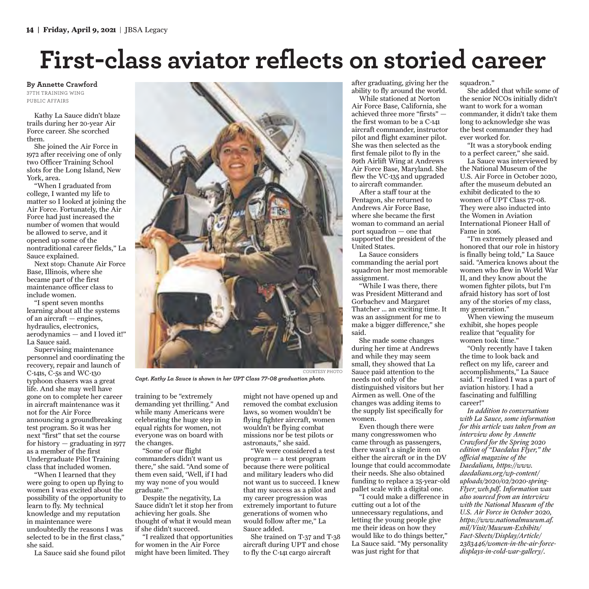## **First-class aviator reflects on storied career**

**By Annette Crawford** 37TH TRAINING WING PUBLIC AFFAIRS

Kathy La Sauce didn't blaze trails during her 20-year Air Force career. She scorched them.

She joined the Air Force in 1972 after receiving one of only two Officer Training School slots for the Long Island, New York, area.

"When I graduated from college, I wanted my life to matter so I looked at joining the Air Force. Fortunately, the Air Force had just increased the number of women that would be allowed to serve, and it opened up some of the nontraditional career fields," La Sauce explained.

Next stop: Chanute Air Force Base, Illinois, where she became part of the first maintenance officer class to include women.

"I spent seven months learning about all the systems of an aircraft — engines, hydraulics, electronics, aerodynamics — and I loved it!" La Sauce said.

Supervising maintenance personnel and coordinating the recovery, repair and launch of C-141s, C-5s and WC-130 typhoon chasers was a great life. And she may well have gone on to complete her career in aircraft maintenance was it not for the Air Force announcing a groundbreaking test program. So it was her next "first" that set the course for history  $-$  graduating in 1977 as a member of the first Undergraduate Pilot Training class that included women.

"When I learned that they were going to open up flying to women I was excited about the possibility of the opportunity to learn to fly. My technical knowledge and my reputation in maintenance were undoubtedly the reasons I was selected to be in the first class," she said.

La Sauce said she found pilot



*Capt. Kathy La Sauce is shown in her UPT Class 77-08 graduation photo.* 

training to be "extremely demanding yet thrilling." And while many Americans were celebrating the huge step in equal rights for women, not everyone was on board with the changes.

"Some of our flight commanders didn't want us there," she said. "And some of them even said, 'Well, if I had my way none of you would graduate.'"

Despite the negativity, La Sauce didn't let it stop her from achieving her goals. She thought of what it would mean if she didn't succeed.

"I realized that opportunities for women in the Air Force might have been limited. They

might not have opened up and removed the combat exclusion laws, so women wouldn't be flying fighter aircraft, women wouldn't be flying combat missions nor be test pilots or astronauts," she said.

"We were considered a test program — a test program because there were political and military leaders who did not want us to succeed. I knew that my success as a pilot and my career progression was extremely important to future generations of women who would follow after me," La Sauce added.

She trained on T-37 and T-38 aircraft during UPT and chose to fly the C-141 cargo aircraft

after graduating, giving her the ability to fly around the world.

While stationed at Norton Air Force Base, California, she achieved three more "firsts" the first woman to be a C-141 aircraft commander, instructor pilot and flight examiner pilot. She was then selected as the first female pilot to fly in the 89th Airlift Wing at Andrews Air Force Base, Maryland. She flew the VC-135 and upgraded to aircraft commander.

After a staff tour at the Pentagon, she returned to Andrews Air Force Base, where she became the first woman to command an aerial port squadron — one that supported the president of the United States.

La Sauce considers commanding the aerial port squadron her most memorable assignment.

"While I was there, there was President Mitterand and Gorbachev and Margaret Thatcher … an exciting time. It was an assignment for me to make a bigger difference," she said.

She made some changes during her time at Andrews and while they may seem small, they showed that La Sauce paid attention to the needs not only of the distinguished visitors but her Airmen as well. One of the changes was adding items to the supply list specifically for women.

Even though there were many congresswomen who came through as passengers, there wasn't a single item on either the aircraft or in the DV lounge that could accommodate their needs. She also obtained funding to replace a 25-year-old pallet scale with a digital one.

"I could make a difference in cutting out a lot of the unnecessary regulations, and letting the young people give me their ideas on how they would like to do things better," La Sauce said. "My personality was just right for that

squadron."

She added that while some of the senior NCOs initially didn't want to work for a woman commander, it didn't take them long to acknowledge she was the best commander they had ever worked for.

"It was a storybook ending to a perfect career," she said.

La Sauce was interviewed by the National Museum of the U.S. Air Force in October 2020, after the museum debuted an exhibit dedicated to the 10 women of UPT Class 77-08. They were also inducted into the Women in Aviation International Pioneer Hall of Fame in 2016.

"I'm extremely pleased and honored that our role in history is finally being told," La Sauce said. "America knows about the women who flew in World War II, and they know about the women fighter pilots, but I'm afraid history has sort of lost any of the stories of my class, my generation."

When viewing the museum exhibit, she hopes people realize that "equality for women took time."

"Only recently have I taken the time to look back and reflect on my life, career and accomplishments," La Sauce said. "I realized I was a part of aviation history. I had a fascinating and fulfilling career!"

*In addition to conversations with La Sauce, some information for this article was taken from an interview done by Annette Crawford for the Spring 2020 edition of "Daedalus Flyer," the official magazine of the Daedalians, https://www. daedalians.org/wp-content/ uploads/2020/02/2020-spring-Flyer\_web.pdf. Information was also sourced from an interview with the National Museum of the U.S. Air Force in October 2020, https://www.nationalmuseum.af. mil/Visit/Museum-Exhibits/ Fact-Sheets/Display/Article/ 2383446/women-in-the-air-forcedisplays-in-cold-war-gallery/.*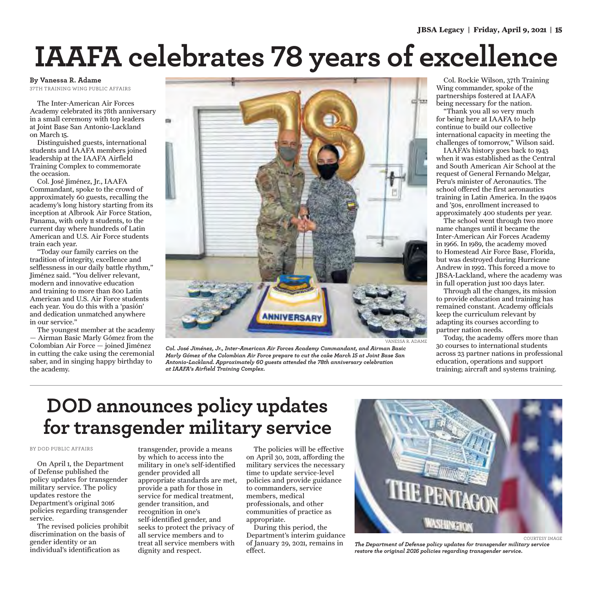# **IAAFA celebrates 78 years of excellence**

#### **By Vanessa R. Adame**

37TH TRAINING WING PUBLIC AFFAIRS

The Inter-American Air Forces Academy celebrated its 78th anniversary in a small ceremony with top leaders at Joint Base San Antonio-Lackland on March 15.

Distinguished guests, international students and IAAFA members joined leadership at the IAAFA Airfield Training Complex to commemorate the occasion.

Col. José Jiménez, Jr., IAAFA Commandant, spoke to the crowd of approximately 60 guests, recalling the academy's long history starting from its inception at Albrook Air Force Station, Panama, with only 11 students, to the current day where hundreds of Latin American and U.S. Air Force students train each year.

"Today our family carries on the tradition of integrity, excellence and selflessness in our daily battle rhythm," Jiménez said. "You deliver relevant, modern and innovative education and training to more than 800 Latin American and U.S. Air Force students each year. You do this with a 'pasión' and dedication unmatched anywhere in our service."

The youngest member at the academy — Airman Basic Marly Gómez from the Colombian Air Force — joined Jiménez in cutting the cake using the ceremonial saber, and in singing happy birthday to the academy.



*Col. José Jiménez, Jr., Inter-American Air Forces Academy Commandant, and Airman Basic Marly Gómez of the Colombian Air Force prepare to cut the cake March 15 at Joint Base San Antonio-Lackland. Approximately 60 guests attended the 78th anniversary celebration at IAAFA's Airfield Training Complex.*

Col. Rockie Wilson, 37th Training Wing commander, spoke of the partnerships fostered at IAAFA being necessary for the nation.

"Thank you all so very much for being here at IAAFA to help continue to build our collective international capacity in meeting the challenges of tomorrow," Wilson said.

IAAFA's history goes back to 1943 when it was established as the Central and South American Air School at the request of General Fernando Melgar, Peru's minister of Aeronautics. The school offered the first aeronautics training in Latin America. In the 1940s and '50s, enrollment increased to approximately 400 students per year.

The school went through two more name changes until it became the Inter-American Air Forces Academy in 1966. In 1989, the academy moved to Homestead Air Force Base, Florida, but was destroyed during Hurricane Andrew in 1992. This forced a move to JBSA-Lackland, where the academy was in full operation just 100 days later.

Through all the changes, its mission to provide education and training has remained constant. Academy officials keep the curriculum relevant by adapting its courses according to partner nation needs.

Today, the academy offers more than 30 courses to international students across 23 partner nations in professional education, operations and support training; aircraft and systems training.

### **DOD announces policy updates for transgender military service**

#### BY DOD PUBLIC AFFAIRS

On April 1, the Department of Defense published the policy updates for transgender military service. The policy updates restore the Department's original 2016 policies regarding transgender service.

The revised policies prohibit discrimination on the basis of gender identity or an individual's identification as

transgender, provide a means by which to access into the military in one's self-identified gender provided all appropriate standards are met, provide a path for those in service for medical treatment, gender transition, and recognition in one's self-identified gender, and seeks to protect the privacy of all service members and to treat all service members with dignity and respect.

The policies will be effective on April 30, 2021, affording the military services the necessary time to update service-level policies and provide guidance to commanders, service members, medical professionals, and other communities of practice as appropriate.

During this period, the Department's interim guidance of January 29, 2021, remains in effect.



COURTESY IMAGE *The Department of Defense policy updates for transgender military service restore the original 2016 policies regarding transgender service.*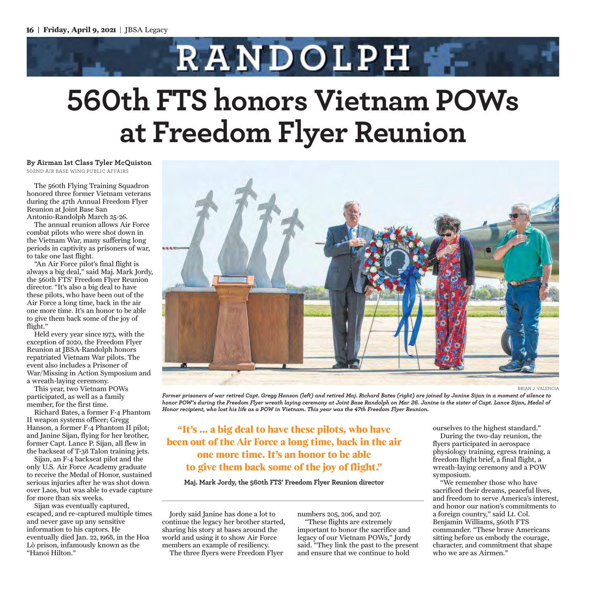# **RANDOLPH 560th FTS honors Vietnam POWs at Freedom Flyer Reunion**

**By Airman 1st Class Tyler McQuiston**  502ND AIR BASE WING PUBLIC AFFAIRS

The 560th Flying Training Squadron honored three former Vietnam veterans during the 47th Annual Freedom Flyer Reunion at Joint Base San Antonio-Randolph March 25-26.

The annual reunion allows Air Force combat pilots who were shot down in the Vietnam War, many suffering long periods in captivity as prisoners of war, to take one last flight.

"An Air Force pilot's final flight is always a big deal," said Maj. Mark Jordy, the 560th FTS' Freedom Flyer Reunion director. "It's also a big deal to have these pilots, who have been out of the Air Force a long time, back in the air one more time. It's an honor to be able to give them back some of the joy of flight."

Held every year since 1973, with the exception of 2020, the Freedom Flyer Reunion at JBSA-Randolph honors repatriated Vietnam War pilots. The event also includes a Prisoner of War/Missing in Action Symposium and a wreath-laying ceremony.

This year, two Vietnam POWs participated, as well as a family member, for the first time.

Richard Bates, a former F-4 Phantom II weapon systems officer; Gregg Hanson, a former F-4 Phantom II pilot; and Janine Sijan, flying for her brother, former Capt. Lance P. Sijan, all flew in the backseat of T-38 Talon training jets.

Sijan, an F-4 backseat pilot and the only U.S. Air Force Academy graduate to receive the Medal of Honor, sustained serious injuries after he was shot down over Laos, but was able to evade capture for more than six weeks.

Sijan was eventually captured, escaped, and re-captured multiple times and never gave up any sensitive information to his captors. He eventually died Jan. 22, 1968, in the Hoa Lò prison, infamously known as the "Hanoi Hilton."



*Former prisoners of war retired Capt. Gregg Hanson (left) and retired Maj. Richard Bates (right) are joined by Janine Sijan in a moment of silence to honor POW's during the Freedom Flyer wreath laying ceremony at Joint Base Randolph on Mar 26. Janine is the sister of Capt. Lance Sijan, Medal of Honor recipient, who lost his life as a POW in Vietnam. This year was the 47th Freedom Flyer Reunion.* 

**"It's ... a big deal to have these pilots, who have been out of the Air Force a long time, back in the air one more time. It's an honor to be able to give them back some of the joy of flight."**

**Maj. Mark Jordy, the 560th FTS' Freedom Flyer Reunion director**

Jordy said Janine has done a lot to continue the legacy her brother started, sharing his story at bases around the world and using it to show Air Force members an example of resiliency.

The three flyers were Freedom Flyer

numbers 205, 206, and 207.

"These flights are extremely important to honor the sacrifice and legacy of our Vietnam POWs," Jordy said. "They link the past to the present and ensure that we continue to hold

ourselves to the highest standard." During the two-day reunion, the flyers participated in aerospace physiology training, egress training, a freedom flight brief, a final flight, a wreath-laying ceremony and a POW symposium.

"We remember those who have sacrificed their dreams, peaceful lives, and freedom to serve America's interest, and honor our nation's commitments to a foreign country," said Lt. Col. Benjamin Williams, 560th FTS commander. "These brave Americans sitting before us embody the courage, character, and commitment that shape who we are as Airmen."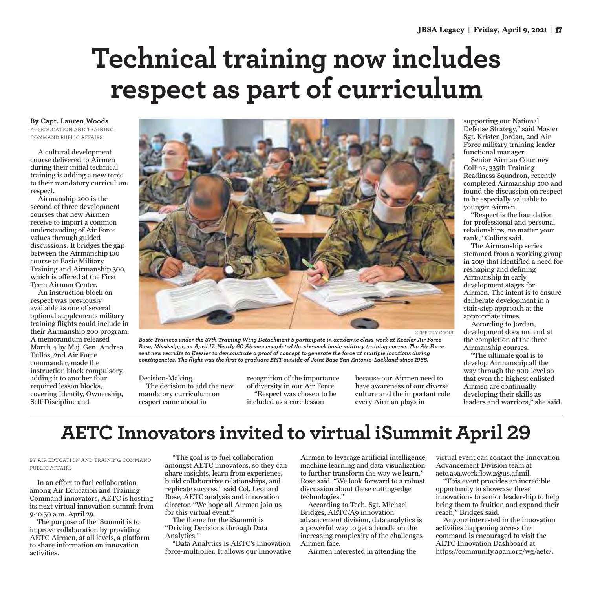## **Technical training now includes respect as part of curriculum**

**By Capt. Lauren Woods**

AIR EDUCATION AND TRAINING COMMAND PUBLIC AFFAIRS

A cultural development course delivered to Airmen during their initial technical training is adding a new topic to their mandatory curriculum: respect.

Airmanship 200 is the second of three development courses that new Airmen receive to impart a common understanding of Air Force values through guided discussions. It bridges the gap between the Airmanship 100 course at Basic Military Training and Airmanship 300, which is offered at the First Term Airman Center.

An instruction block on respect was previously available as one of several optional supplements military training flights could include in their Airmanship 200 program. A memorandum released March 4 by Maj. Gen. Andrea Tullos, 2nd Air Force commander, made the instruction block compulsory, adding it to another four required lesson blocks, covering Identity, Ownership, Self-Discipline and



*Basic Trainees under the 37th Training Wing Detachment 5 participate in academic class-work at Keesler Air Force Base, Mississippi, on April 17. Nearly 60 Airmen completed the six-week basic military training course. The Air Force sent new recruits to Keesler to demonstrate a proof of concept to generate the force at multiple locations during contingencies. The flight was the first to graduate BMT outside of Joint Base San Antonio-Lackland since 1968.* 

Decision-Making.

The decision to add the new mandatory curriculum on respect came about in

recognition of the importance of diversity in our Air Force. "Respect was chosen to be included as a core lesson

because our Airmen need to have awareness of our diverse culture and the important role every Airman plays in

supporting our National Defense Strategy," said Master Sgt. Kristen Jordan, 2nd Air Force military training leader functional manager.

Senior Airman Courtney Collins, 335th Training Readiness Squadron, recently completed Airmanship 200 and found the discussion on respect to be especially valuable to younger Airmen.

"Respect is the foundation for professional and personal relationships, no matter your rank," Collins said.

The Airmanship series stemmed from a working group in 2019 that identified a need for reshaping and defining Airmanship in early development stages for Airmen. The intent is to ensure deliberate development in a stair-step approach at the appropriate times.

According to Jordan, development does not end at the completion of the three Airmanship courses.

"The ultimate goal is to develop Airmanship all the way through the 900-level so that even the highest enlisted Airmen are continually developing their skills as leaders and warriors," she said.

## **AETC Innovators invited to virtual iSummit April 29**

BY AIR EDUCATION AND TRAINING COMMAND PUBLIC AFFAIRS

In an effort to fuel collaboration among Air Education and Training Command innovators, AETC is hosting its next virtual innovation summit from 9-10:30 a.m. April 29.

The purpose of the iSummit is to improve collaboration by providing AETC Airmen, at all levels, a platform to share information on innovation activities.

"The goal is to fuel collaboration amongst AETC innovators, so they can share insights, learn from experience, build collaborative relationships, and replicate success," said Col. Leonard Rose, AETC analysis and innovation director. "We hope all Airmen join us for this virtual event."

The theme for the iSummit is "Driving Decisions through Data Analytics."

"Data Analytics is AETC's innovation force-multiplier. It allows our innovative

Airmen to leverage artificial intelligence, machine learning and data visualization to further transform the way we learn," Rose said. "We look forward to a robust discussion about these cutting-edge technologies."

According to Tech. Sgt. Michael Bridges, AETC/A9 innovation advancement division, data analytics is a powerful way to get a handle on the increasing complexity of the challenges Airmen face.

Airmen interested in attending the

virtual event can contact the Innovation Advancement Division team at aetc.a9a.workflow.2@us.af.mil.

"This event provides an incredible opportunity to showcase these innovations to senior leadership to help bring them to fruition and expand their reach," Bridges said.

Anyone interested in the innovation activities happening across the command is encouraged to visit the AETC Innovation Dashboard at https://community.apan.org/wg/aetc/.